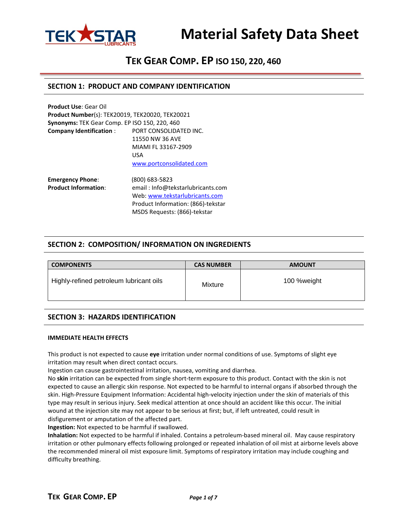

# **TEK GEAR COMP. EP ISO 150, 220, 460**

## **SECTION 1: PRODUCT AND COMPANY IDENTIFICATION**

| <b>Product Use: Gear Oil</b>                           |                                    |  |  |  |
|--------------------------------------------------------|------------------------------------|--|--|--|
| <b>Product Number(s): TEK20019, TEK20020, TEK20021</b> |                                    |  |  |  |
| Synonyms: TEK Gear Comp. EP ISO 150, 220, 460          |                                    |  |  |  |
| <b>Company Identification:</b>                         | PORT CONSOLIDATED INC.             |  |  |  |
|                                                        | 11550 NW 36 AVE                    |  |  |  |
|                                                        | MIAMI FL 33167-2909                |  |  |  |
|                                                        | USA                                |  |  |  |
|                                                        | www.portconsolidated.com           |  |  |  |
| <b>Emergency Phone:</b>                                | (800) 683-5823                     |  |  |  |
| <b>Product Information:</b>                            | email: Info@tekstarlubricants.com  |  |  |  |
|                                                        | Web: www.tekstarlubricants.com     |  |  |  |
|                                                        | Product Information: (866)-tekstar |  |  |  |

# **SECTION 2: COMPOSITION/ INFORMATION ON INGREDIENTS**

MSDS Requests: (866)-tekstar

| <b>COMPONENTS</b>                       | <b>CAS NUMBER</b> | <b>AMOUNT</b> |  |  |
|-----------------------------------------|-------------------|---------------|--|--|
| Highly-refined petroleum lubricant oils | Mixture           | 100 %weight   |  |  |

# **SECTION 3: HAZARDS IDENTIFICATION**

#### **IMMEDIATE HEALTH EFFECTS**

This product is not expected to cause **eye** irritation under normal conditions of use. Symptoms of slight eye irritation may result when direct contact occurs.

Ingestion can cause gastrointestinal irritation, nausea, vomiting and diarrhea.

No **skin** irritation can be expected from single short-term exposure to this product. Contact with the skin is not expected to cause an allergic skin response. Not expected to be harmful to internal organs if absorbed through the skin. High-Pressure Equipment Information: Accidental high-velocity injection under the skin of materials of this type may result in serious injury. Seek medical attention at once should an accident like this occur. The initial wound at the injection site may not appear to be serious at first; but, if left untreated, could result in disfigurement or amputation of the affected part.

**Ingestion:** Not expected to be harmful if swallowed.

**Inhalation:** Not expected to be harmful if inhaled. Contains a petroleum-based mineral oil. May cause respiratory irritation or other pulmonary effects following prolonged or repeated inhalation of oil mist at airborne levels above the recommended mineral oil mist exposure limit. Symptoms of respiratory irritation may include coughing and difficulty breathing.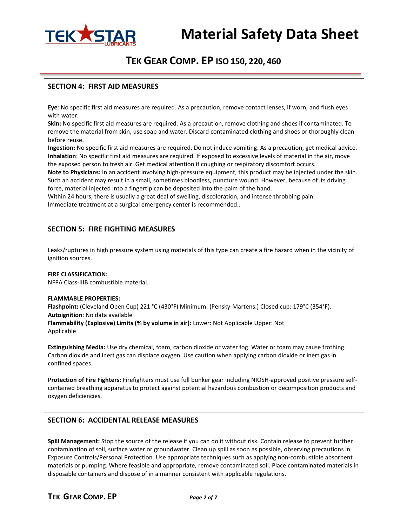

# **TEK GEAR COMP. EP ISO 150, 220, 460**

## **SECTION 4: FIRST AID MEASURES**

**Eye**: No specific first aid measures are required. As a precaution, remove contact lenses, if worn, and flush eyes with water.

**Skin:** No specific first aid measures are required. As a precaution, remove clothing and shoes if contaminated. To remove the material from skin, use soap and water. Discard contaminated clothing and shoes or thoroughly clean before reuse.

**Ingestion:** No specific first aid measures are required. Do not induce vomiting. As a precaution, get medical advice. **Inhalation**: No specific first aid measures are required. If exposed to excessive levels of material in the air, move the exposed person to fresh air. Get medical attention if coughing or respiratory discomfort occurs.

**Note to Physicians:** In an accident involving high-pressure equipment, this product may be injected under the skin. Such an accident may result in a small, sometimes bloodless, puncture wound. However, because of its driving force, material injected into a fingertip can be deposited into the palm of the hand.

Within 24 hours, there is usually a great deal of swelling, discoloration, and intense throbbing pain. Immediate treatment at a surgical emergency center is recommended..

# **SECTION 5: FIRE FIGHTING MEASURES**

Leaks/ruptures in high pressure system using materials of this type can create a fire hazard when in the vicinity of ignition sources.

#### **FIRE CLASSIFICATION:** NFPA Class-IIIB combustible material.

#### **FLAMMABLE PROPERTIES:**

**Flashpoint:** (Cleveland Open Cup) 221 °C (430°F) Minimum. (Pensky-Martens.) Closed cup: 179°C (354°F). **Autoignition**: No data available

**Flammability (Explosive) Limits (% by volume in air):** Lower: Not Applicable Upper: Not Applicable

**Extinguishing Media:** Use dry chemical, foam, carbon dioxide or water fog. Water or foam may cause frothing. Carbon dioxide and inert gas can displace oxygen. Use caution when applying carbon dioxide or inert gas in confined spaces.

**Protection of Fire Fighters:** Firefighters must use full bunker gear including NIOSH-approved positive pressure selfcontained breathing apparatus to protect against potential hazardous combustion or decomposition products and oxygen deficiencies.

### **SECTION 6: ACCIDENTAL RELEASE MEASURES**

**Spill Management:** Stop the source of the release if you can do it without risk. Contain release to prevent further contamination of soil, surface water or groundwater. Clean up spill as soon as possible, observing precautions in Exposure Controls/Personal Protection. Use appropriate techniques such as applying non-combustible absorbent materials or pumping. Where feasible and appropriate, remove contaminated soil. Place contaminated materials in disposable containers and dispose of in a manner consistent with applicable regulations.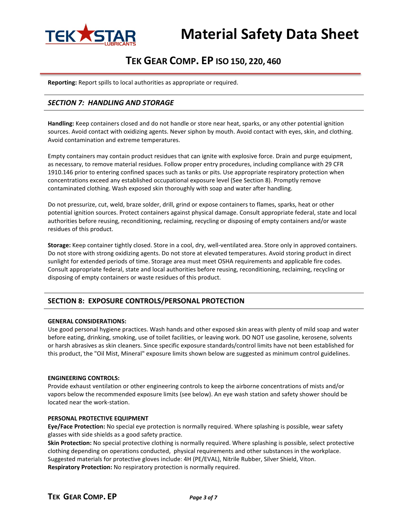

# **TEK GEAR COMP. EP ISO 150, 220, 460**

**Reporting:** Report spills to local authorities as appropriate or required.

# *SECTION 7: HANDLING AND STORAGE*

**Handling:** Keep containers closed and do not handle or store near heat, sparks, or any other potential ignition sources. Avoid contact with oxidizing agents. Never siphon by mouth. Avoid contact with eyes, skin, and clothing. Avoid contamination and extreme temperatures.

Empty containers may contain product residues that can ignite with explosive force. Drain and purge equipment, as necessary, to remove material residues. Follow proper entry procedures, including compliance with 29 CFR 1910.146 prior to entering confined spaces such as tanks or pits. Use appropriate respiratory protection when concentrations exceed any established occupational exposure level (See Section 8). Promptly remove contaminated clothing. Wash exposed skin thoroughly with soap and water after handling.

Do not pressurize, cut, weld, braze solder, drill, grind or expose containers to flames, sparks, heat or other potential ignition sources. Protect containers against physical damage. Consult appropriate federal, state and local authorities before reusing, reconditioning, reclaiming, recycling or disposing of empty containers and/or waste residues of this product.

**Storage:** Keep container tightly closed. Store in a cool, dry, well-ventilated area. Store only in approved containers. Do not store with strong oxidizing agents. Do not store at elevated temperatures. Avoid storing product in direct sunlight for extended periods of time. Storage area must meet OSHA requirements and applicable fire codes. Consult appropriate federal, state and local authorities before reusing, reconditioning, reclaiming, recycling or disposing of empty containers or waste residues of this product.

# **SECTION 8: EXPOSURE CONTROLS/PERSONAL PROTECTION**

#### **GENERAL CONSIDERATIONS:**

Use good personal hygiene practices. Wash hands and other exposed skin areas with plenty of mild soap and water before eating, drinking, smoking, use of toilet facilities, or leaving work. DO NOT use gasoline, kerosene, solvents or harsh abrasives as skin cleaners. Since specific exposure standards/control limits have not been established for this product, the "Oil Mist, Mineral" exposure limits shown below are suggested as minimum control guidelines.

#### **ENGINEERING CONTROLS:**

Provide exhaust ventilation or other engineering controls to keep the airborne concentrations of mists and/or vapors below the recommended exposure limits (see below). An eye wash station and safety shower should be located near the work-station.

#### **PERSONAL PROTECTIVE EQUIPMENT**

**Eye/Face Protection:** No special eye protection is normally required. Where splashing is possible, wear safety glasses with side shields as a good safety practice.

**Skin Protection:** No special protective clothing is normally required. Where splashing is possible, select protective clothing depending on operations conducted, physical requirements and other substances in the workplace. Suggested materials for protective gloves include: 4H (PE/EVAL), Nitrile Rubber, Silver Shield, Viton. **Respiratory Protection:** No respiratory protection is normally required.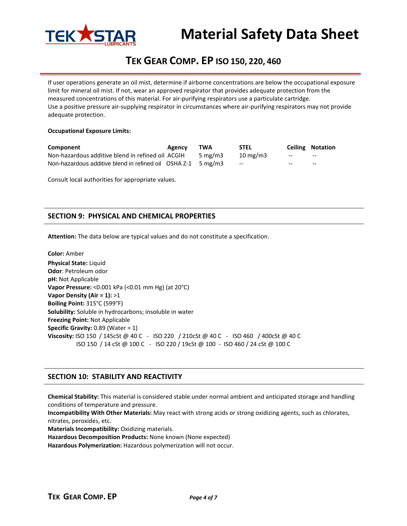

# **TEK GEAR COMP. EP ISO 150, 220, 460**

If user operations generate an oil mist, determine if airborne concentrations are below the occupational exposure limit for mineral oil mist. If not, wear an approved respirator that provides adequate protection from the measured concentrations of this material. For air-purifying respirators use a particulate cartridge. Use a positive pressure air-supplying respirator in circumstances where air-purifying respirators may not provide adequate protection.

#### **Occupational Exposure Limits:**

| Component                                                                                 | Agency | TWA        | <b>STEL</b>       |       | <b>Ceiling Notation</b> |
|-------------------------------------------------------------------------------------------|--------|------------|-------------------|-------|-------------------------|
| Non-hazardous additive blend in refined oil ACGIH                                         |        | 5 mg/m $3$ | $10 \text{ mg/m}$ | $-$   | $-$                     |
| Non-hazardous additive blend in refined oil $\overline{O}$ SHA Z-1 $\overline{O}$ 5 mg/m3 |        |            | $-$               | $- -$ | $- -$                   |

Consult local authorities for appropriate values.

# **SECTION 9: PHYSICAL AND CHEMICAL PROPERTIES**

**Attention:** The data below are typical values and do not constitute a specification.

**Color:** Amber **Physical State:** Liquid **Odor**: Petroleum odor **pH:** Not Applicable **Vapor Pressure:** <0.001 kPa (<0.01 mm Hg) (at 20°C) **Vapor Density (Air = 1):** >1 **Boiling Point:** 315°C (599°F) **Solubility:** Soluble in hydrocarbons; insoluble in water **Freezing Point:** Not Applicable **Specific Gravity: 0.89 (Water = 1) Viscosity:** ISO 150 / 145cSt @ 40 C - ISO 220 / 210cSt @ 40 C - ISO 460 / 400cSt @ 40 C ISO 150 / 14 cSt @ 100 C - ISO 220 / 19cSt @ 100 - ISO 460 / 24 cSt @ 100 C

### **SECTION 10: STABILITY AND REACTIVITY**

**Chemical Stability:** This material is considered stable under normal ambient and anticipated storage and handling conditions of temperature and pressure.

**Incompatibility With Other Materials:** May react with strong acids or strong oxidizing agents, such as chlorates, nitrates, peroxides, etc.

**Materials Incompatibility:** Oxidizing materials.

**Hazardous Decomposition Products:** None known (None expected)

**Hazardous Polymerization:** Hazardous polymerization will not occur.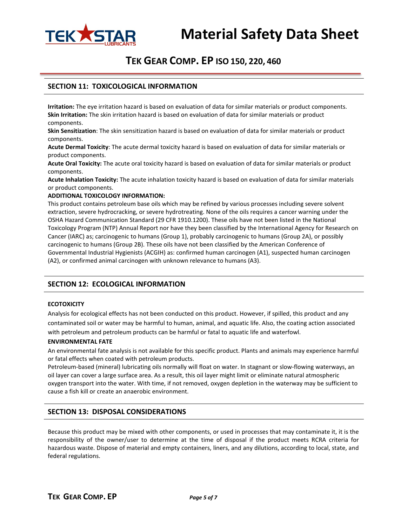

# **TEK GEAR COMP. EP ISO 150, 220, 460**

## **SECTION 11: TOXICOLOGICAL INFORMATION**

**Irritation:** The eye irritation hazard is based on evaluation of data for similar materials or product components. **Skin Irritation:** The skin irritation hazard is based on evaluation of data for similar materials or product components.

**Skin Sensitization**: The skin sensitization hazard is based on evaluation of data for similar materials or product components.

**Acute Dermal Toxicity**: The acute dermal toxicity hazard is based on evaluation of data for similar materials or product components.

**Acute Oral Toxicity:** The acute oral toxicity hazard is based on evaluation of data for similar materials or product components.

**Acute Inhalation Toxicity:** The acute inhalation toxicity hazard is based on evaluation of data for similar materials or product components.

#### **ADDITIONAL TOXICOLOGY INFORMATION:**

This product contains petroleum base oils which may be refined by various processes including severe solvent extraction, severe hydrocracking, or severe hydrotreating. None of the oils requires a cancer warning under the OSHA Hazard Communication Standard (29 CFR 1910.1200). These oils have not been listed in the National Toxicology Program (NTP) Annual Report nor have they been classified by the International Agency for Research on Cancer (IARC) as; carcinogenic to humans (Group 1), probably carcinogenic to humans (Group 2A), or possibly carcinogenic to humans (Group 2B). These oils have not been classified by the American Conference of Governmental Industrial Hygienists (ACGIH) as: confirmed human carcinogen (A1), suspected human carcinogen (A2), or confirmed animal carcinogen with unknown relevance to humans (A3).

## **SECTION 12: ECOLOGICAL INFORMATION**

#### **ECOTOXICITY**

Analysis for ecological effects has not been conducted on this product. However, if spilled, this product and any contaminated soil or water may be harmful to human, animal, and aquatic life. Also, the coating action associated with petroleum and petroleum products can be harmful or fatal to aquatic life and waterfowl.

#### **ENVIRONMENTAL FATE**

An environmental fate analysis is not available for this specific product. Plants and animals may experience harmful or fatal effects when coated with petroleum products.

Petroleum-based (mineral) lubricating oils normally will float on water. In stagnant or slow-flowing waterways, an oil layer can cover a large surface area. As a result, this oil layer might limit or eliminate natural atmospheric oxygen transport into the water. With time, if not removed, oxygen depletion in the waterway may be sufficient to cause a fish kill or create an anaerobic environment.

### **SECTION 13: DISPOSAL CONSIDERATIONS**

Because this product may be mixed with other components, or used in processes that may contaminate it, it is the responsibility of the owner/user to determine at the time of disposal if the product meets RCRA criteria for hazardous waste. Dispose of material and empty containers, liners, and any dilutions, according to local, state, and federal regulations.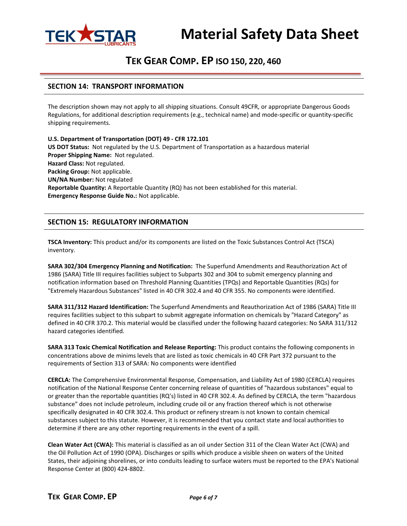

# **TEK GEAR COMP. EP ISO 150, 220, 460**

## **SECTION 14: TRANSPORT INFORMATION**

The description shown may not apply to all shipping situations. Consult 49CFR, or appropriate Dangerous Goods Regulations, for additional description requirements (e.g., technical name) and mode-specific or quantity-specific shipping requirements.

**U.S. Department of Transportation (DOT) 49 - CFR 172.101 US DOT Status:** Not regulated by the U.S. Department of Transportation as a hazardous material **Proper Shipping Name:** Not regulated. **Hazard Class:** Not regulated. **Packing Group:** Not applicable. **UN/NA Number:** Not regulated **Reportable Quantity:** A Reportable Quantity (RQ) has not been established for this material. **Emergency Response Guide No.:** Not applicable.

# **SECTION 15: REGULATORY INFORMATION**

**TSCA Inventory:** This product and/or its components are listed on the Toxic Substances Control Act (TSCA) inventory.

**SARA 302/304 Emergency Planning and Notification:** The Superfund Amendments and Reauthorization Act of 1986 (SARA) Title III requires facilities subject to Subparts 302 and 304 to submit emergency planning and notification information based on Threshold Planning Quantities (TPQs) and Reportable Quantities (RQs) for "Extremely Hazardous Substances" listed in 40 CFR 302.4 and 40 CFR 355. No components were identified.

**SARA 311/312 Hazard Identification:** The Superfund Amendments and Reauthorization Act of 1986 (SARA) Title III requires facilities subject to this subpart to submit aggregate information on chemicals by "Hazard Category" as defined in 40 CFR 370.2. This material would be classified under the following hazard categories: No SARA 311/312 hazard categories identified.

**SARA 313 Toxic Chemical Notification and Release Reporting:** This product contains the following components in concentrations above de minims levels that are listed as toxic chemicals in 40 CFR Part 372 pursuant to the requirements of Section 313 of SARA: No components were identified

**CERCLA:** The Comprehensive Environmental Response, Compensation, and Liability Act of 1980 (CERCLA) requires notification of the National Response Center concerning release of quantities of "hazardous substances" equal to or greater than the reportable quantities (RQ's) listed in 40 CFR 302.4. As defined by CERCLA, the term "hazardous substance" does not include petroleum, including crude oil or any fraction thereof which is not otherwise specifically designated in 40 CFR 302.4. This product or refinery stream is not known to contain chemical substances subject to this statute. However, it is recommended that you contact state and local authorities to determine if there are any other reporting requirements in the event of a spill.

**Clean Water Act (CWA):** This material is classified as an oil under Section 311 of the Clean Water Act (CWA) and the Oil Pollution Act of 1990 (OPA). Discharges or spills which produce a visible sheen on waters of the United States, their adjoining shorelines, or into conduits leading to surface waters must be reported to the EPA's National Response Center at (800) 424-8802.